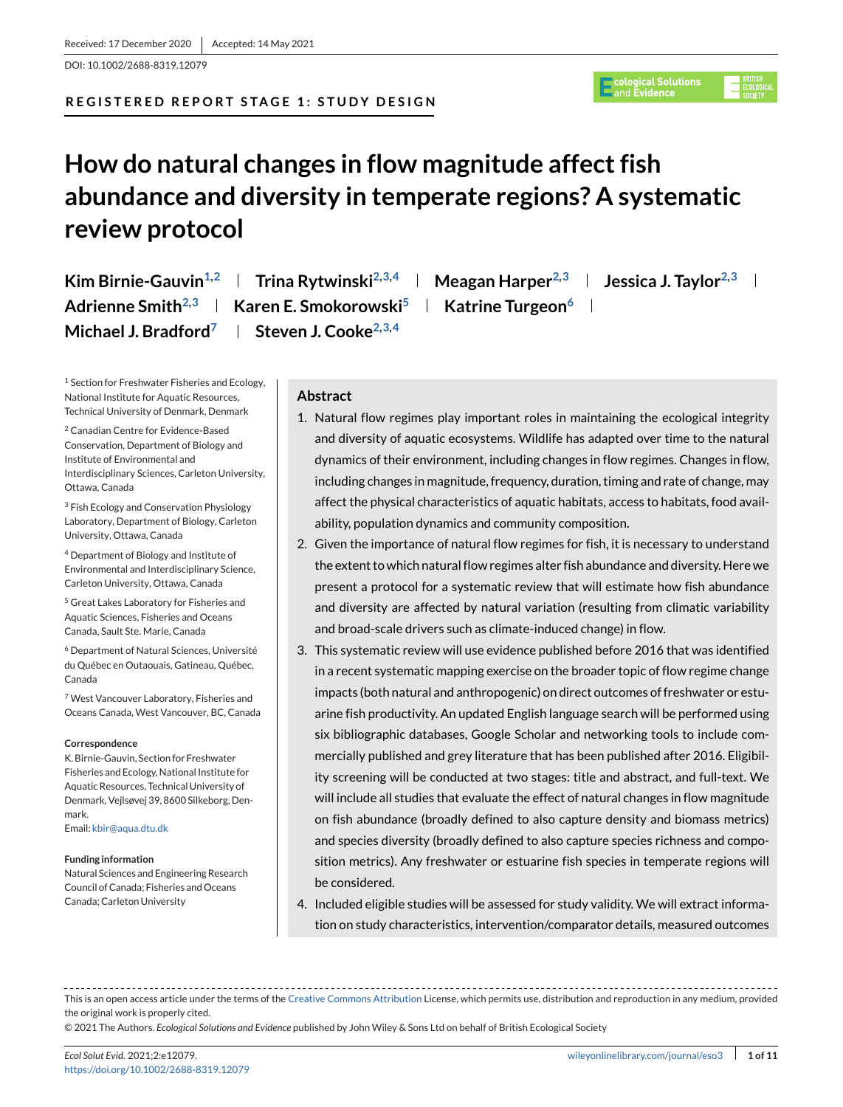DOI: 10.1002/2688-8319.12079

## **REGISTERED REPORT STAGE 1: STUDY DESIGN**

# c<mark>ological Solutions</mark><br>and **Evidence**

# **How do natural changes in flow magnitude affect fish abundance and diversity in temperate regions? A systematic review protocol**

**Kim Birnie-Gauvin**<sup>1,2</sup> **| Trina Rytwinski**<sup>2,3,4</sup> **| Meagan Harper**<sup>2,3</sup> **| Jessica J. Taylor**<sup>2,3</sup> **| Adrienne Smith<sup>2,3</sup> | Karen E. Smokorowski<sup>5</sup> | Katrine Turgeon<sup>6</sup> | Michael J. Bradford**<sup>7</sup> | Steven J. Cooke<sup>2,3,4</sup>

<sup>1</sup> Section for Freshwater Fisheries and Ecology, National Institute for Aquatic Resources, Technical University of Denmark, Denmark

<sup>2</sup> Canadian Centre for Evidence-Based Conservation, Department of Biology and Institute of Environmental and Interdisciplinary Sciences, Carleton University, Ottawa, Canada

<sup>3</sup> Fish Ecology and Conservation Physiology Laboratory, Department of Biology, Carleton University, Ottawa, Canada

<sup>4</sup> Department of Biology and Institute of Environmental and Interdisciplinary Science, Carleton University, Ottawa, Canada

<sup>5</sup> Great Lakes Laboratory for Fisheries and Aquatic Sciences, Fisheries and Oceans Canada, Sault Ste. Marie, Canada

<sup>6</sup> Department of Natural Sciences, Université du Québec en Outaouais, Gatineau, Québec, Canada

<sup>7</sup> West Vancouver Laboratory, Fisheries and Oceans Canada, West Vancouver, BC, Canada

#### **Correspondence**

K. Birnie-Gauvin, Section for Freshwater Fisheries and Ecology, National Institute for Aquatic Resources, Technical University of Denmark, Vejlsøvej 39, 8600 Silkeborg, Denmark.

Email: [kbir@aqua.dtu.dk](mailto:kbir@aqua.dtu.dk)

#### **Funding information**

Natural Sciences and Engineering Research Council of Canada; Fisheries and Oceans Canada; Carleton University

## **Abstract**

- 1. Natural flow regimes play important roles in maintaining the ecological integrity and diversity of aquatic ecosystems. Wildlife has adapted over time to the natural dynamics of their environment, including changes in flow regimes. Changes in flow, including changes in magnitude, frequency, duration, timing and rate of change, may affect the physical characteristics of aquatic habitats, access to habitats, food availability, population dynamics and community composition.
- 2. Given the importance of natural flow regimes for fish, it is necessary to understand the extent to which natural flow regimes alter fish abundance and diversity. Here we present a protocol for a systematic review that will estimate how fish abundance and diversity are affected by natural variation (resulting from climatic variability and broad-scale drivers such as climate-induced change) in flow.
- 3. This systematic review will use evidence published before 2016 that was identified in a recent systematic mapping exercise on the broader topic of flow regime change impacts (both natural and anthropogenic) on direct outcomes of freshwater or estuarine fish productivity. An updated English language search will be performed using six bibliographic databases, Google Scholar and networking tools to include commercially published and grey literature that has been published after 2016. Eligibility screening will be conducted at two stages: title and abstract, and full-text. We will include all studies that evaluate the effect of natural changes in flow magnitude on fish abundance (broadly defined to also capture density and biomass metrics) and species diversity (broadly defined to also capture species richness and composition metrics). Any freshwater or estuarine fish species in temperate regions will be considered.
- 4. Included eligible studies will be assessed for study validity. We will extract information on study characteristics, intervention/comparator details, measured outcomes

This is an open access article under the terms of the [Creative Commons Attribution](http://creativecommons.org/licenses/by/4.0/) License, which permits use, distribution and reproduction in any medium, provided the original work is properly cited.

© 2021 The Authors. *Ecological Solutions and Evidence* published by John Wiley & Sons Ltd on behalf of British Ecological Society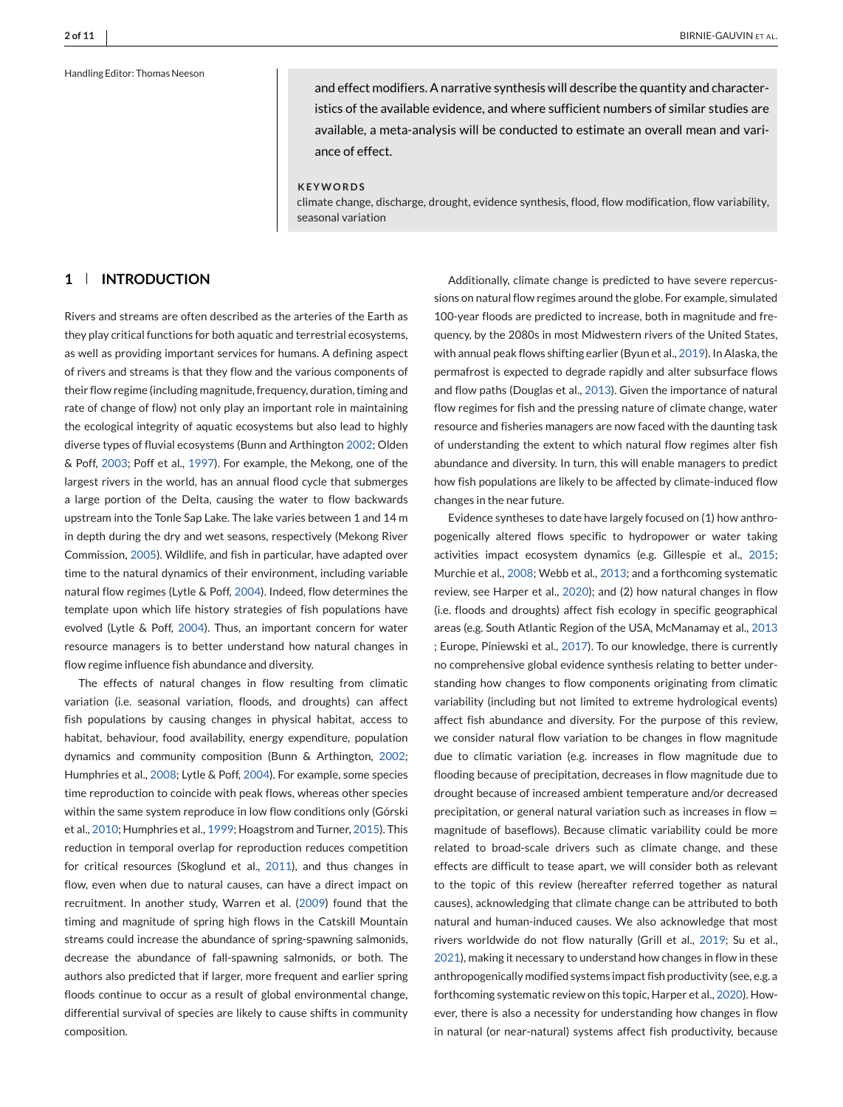#### Handling Editor: Thomas Neeson

**2 of 11** BIRNIE-GAUVIN ET AL.

and effect modifiers. A narrative synthesis will describe the quantity and characteristics of the available evidence, and where sufficient numbers of similar studies are available, a meta-analysis will be conducted to estimate an overall mean and variance of effect.

#### **KEYWORDS**

climate change, discharge, drought, evidence synthesis, flood, flow modification, flow variability, seasonal variation

## **1 INTRODUCTION**

Rivers and streams are often described as the arteries of the Earth as they play critical functions for both aquatic and terrestrial ecosystems, as well as providing important services for humans. A defining aspect of rivers and streams is that they flow and the various components of their flow regime (including magnitude, frequency, duration, timing and rate of change of flow) not only play an important role in maintaining the ecological integrity of aquatic ecosystems but also lead to highly diverse types of fluvial ecosystems (Bunn and Arthington [2002;](#page-9-0) Olden & Poff, [2003;](#page-10-0) Poff et al., [1997\)](#page-10-0). For example, the Mekong, one of the largest rivers in the world, has an annual flood cycle that submerges a large portion of the Delta, causing the water to flow backwards upstream into the Tonle Sap Lake. The lake varies between 1 and 14 m in depth during the dry and wet seasons, respectively (Mekong River Commission, [2005\)](#page-9-0). Wildlife, and fish in particular, have adapted over time to the natural dynamics of their environment, including variable natural flow regimes (Lytle & Poff, [2004\)](#page-9-0). Indeed, flow determines the template upon which life history strategies of fish populations have evolved (Lytle & Poff, [2004\)](#page-9-0). Thus, an important concern for water resource managers is to better understand how natural changes in flow regime influence fish abundance and diversity.

The effects of natural changes in flow resulting from climatic variation (i.e. seasonal variation, floods, and droughts) can affect fish populations by causing changes in physical habitat, access to habitat, behaviour, food availability, energy expenditure, population dynamics and community composition (Bunn & Arthington, [2002;](#page-9-0) Humphries et al., [2008;](#page-9-0) Lytle & Poff, [2004\)](#page-9-0). For example, some species time reproduction to coincide with peak flows, whereas other species within the same system reproduce in low flow conditions only (Górski et al., [2010;](#page-9-0) Humphries et al., [1999;](#page-9-0) Hoagstrom and Turner, [2015\)](#page-9-0). This reduction in temporal overlap for reproduction reduces competition for critical resources (Skoglund et al., [2011\)](#page-10-0), and thus changes in flow, even when due to natural causes, can have a direct impact on recruitment. In another study, Warren et al. [\(2009\)](#page-10-0) found that the timing and magnitude of spring high flows in the Catskill Mountain streams could increase the abundance of spring-spawning salmonids, decrease the abundance of fall-spawning salmonids, or both. The authors also predicted that if larger, more frequent and earlier spring floods continue to occur as a result of global environmental change, differential survival of species are likely to cause shifts in community composition.

Additionally, climate change is predicted to have severe repercussions on natural flow regimes around the globe. For example, simulated 100-year floods are predicted to increase, both in magnitude and frequency, by the 2080s in most Midwestern rivers of the United States, with annual peak flows shifting earlier (Byun et al., [2019\)](#page-9-0). In Alaska, the permafrost is expected to degrade rapidly and alter subsurface flows and flow paths (Douglas et al., [2013\)](#page-9-0). Given the importance of natural flow regimes for fish and the pressing nature of climate change, water resource and fisheries managers are now faced with the daunting task of understanding the extent to which natural flow regimes alter fish abundance and diversity. In turn, this will enable managers to predict how fish populations are likely to be affected by climate-induced flow changes in the near future.

Evidence syntheses to date have largely focused on (1) how anthropogenically altered flows specific to hydropower or water taking activities impact ecosystem dynamics (e.g. Gillespie et al., [2015;](#page-9-0) Murchie et al., [2008;](#page-9-0) Webb et al., [2013;](#page-10-0) and a forthcoming systematic review, see Harper et al., [2020\)](#page-9-0); and (2) how natural changes in flow (i.e. floods and droughts) affect fish ecology in specific geographical areas (e.g. South Atlantic Region of the USA, McManamay et al., [2013](#page-9-0) ; Europe, Piniewski et al., [2017\)](#page-10-0). To our knowledge, there is currently no comprehensive global evidence synthesis relating to better understanding how changes to flow components originating from climatic variability (including but not limited to extreme hydrological events) affect fish abundance and diversity. For the purpose of this review, we consider natural flow variation to be changes in flow magnitude due to climatic variation (e.g. increases in flow magnitude due to flooding because of precipitation, decreases in flow magnitude due to drought because of increased ambient temperature and/or decreased precipitation, or general natural variation such as increases in flow  $=$ magnitude of baseflows). Because climatic variability could be more related to broad-scale drivers such as climate change, and these effects are difficult to tease apart, we will consider both as relevant to the topic of this review (hereafter referred together as natural causes), acknowledging that climate change can be attributed to both natural and human-induced causes. We also acknowledge that most rivers worldwide do not flow naturally (Grill et al., [2019;](#page-9-0) Su et al., [2021\)](#page-10-0), making it necessary to understand how changes in flow in these anthropogenically modified systems impact fish productivity (see, e.g. a forthcoming systematic review on this topic, Harper et al., [2020\)](#page-9-0). However, there is also a necessity for understanding how changes in flow in natural (or near-natural) systems affect fish productivity, because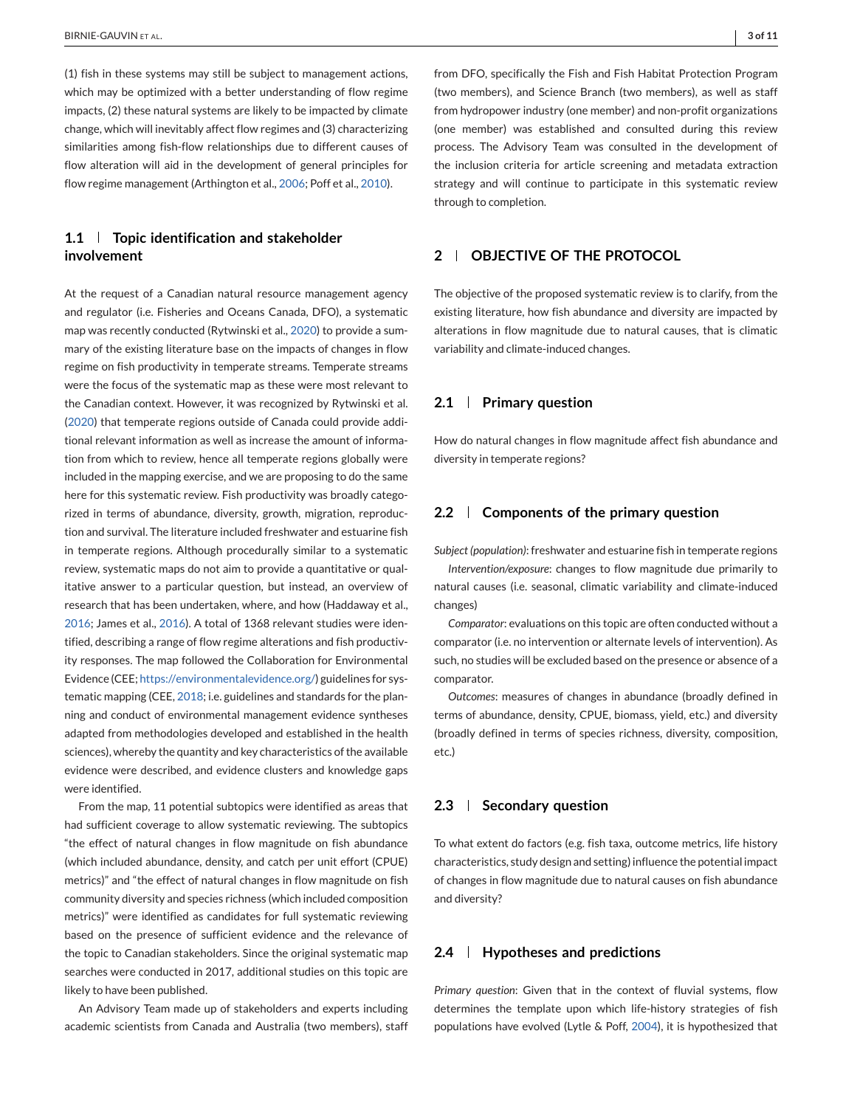(1) fish in these systems may still be subject to management actions, which may be optimized with a better understanding of flow regime impacts, (2) these natural systems are likely to be impacted by climate change, which will inevitably affect flow regimes and (3) characterizing similarities among fish-flow relationships due to different causes of flow alteration will aid in the development of general principles for flow regime management (Arthington et al., [2006;](#page-9-0) Poff et al., [2010\)](#page-10-0).

# **1.1 Topic identification and stakeholder involvement**

At the request of a Canadian natural resource management agency and regulator (i.e. Fisheries and Oceans Canada, DFO), a systematic map was recently conducted (Rytwinski et al., [2020\)](#page-10-0) to provide a summary of the existing literature base on the impacts of changes in flow regime on fish productivity in temperate streams. Temperate streams were the focus of the systematic map as these were most relevant to the Canadian context. However, it was recognized by Rytwinski et al. [\(2020\)](#page-10-0) that temperate regions outside of Canada could provide additional relevant information as well as increase the amount of information from which to review, hence all temperate regions globally were included in the mapping exercise, and we are proposing to do the same here for this systematic review. Fish productivity was broadly categorized in terms of abundance, diversity, growth, migration, reproduction and survival. The literature included freshwater and estuarine fish in temperate regions. Although procedurally similar to a systematic review, systematic maps do not aim to provide a quantitative or qualitative answer to a particular question, but instead, an overview of research that has been undertaken, where, and how (Haddaway et al., [2016;](#page-9-0) James et al., [2016\)](#page-9-0). A total of 1368 relevant studies were identified, describing a range of flow regime alterations and fish productivity responses. The map followed the Collaboration for Environmental Evidence (CEE; [https://environmentalevidence.org/\)](https://environmentalevidence.org/) guidelines for systematic mapping (CEE, [2018;](#page-9-0) i.e. guidelines and standards for the planning and conduct of environmental management evidence syntheses adapted from methodologies developed and established in the health sciences), whereby the quantity and key characteristics of the available evidence were described, and evidence clusters and knowledge gaps were identified.

From the map, 11 potential subtopics were identified as areas that had sufficient coverage to allow systematic reviewing. The subtopics "the effect of natural changes in flow magnitude on fish abundance (which included abundance, density, and catch per unit effort (CPUE) metrics)" and "the effect of natural changes in flow magnitude on fish community diversity and species richness (which included composition metrics)" were identified as candidates for full systematic reviewing based on the presence of sufficient evidence and the relevance of the topic to Canadian stakeholders. Since the original systematic map searches were conducted in 2017, additional studies on this topic are likely to have been published.

An Advisory Team made up of stakeholders and experts including academic scientists from Canada and Australia (two members), staff

from DFO, specifically the Fish and Fish Habitat Protection Program (two members), and Science Branch (two members), as well as staff from hydropower industry (one member) and non-profit organizations (one member) was established and consulted during this review process. The Advisory Team was consulted in the development of the inclusion criteria for article screening and metadata extraction strategy and will continue to participate in this systematic review through to completion.

# **2 OBJECTIVE OF THE PROTOCOL**

The objective of the proposed systematic review is to clarify, from the existing literature, how fish abundance and diversity are impacted by alterations in flow magnitude due to natural causes, that is climatic variability and climate-induced changes.

## **2.1 Primary question**

How do natural changes in flow magnitude affect fish abundance and diversity in temperate regions?

## **2.2 Components of the primary question**

*Subject (population)*: freshwater and estuarine fish in temperate regions

*Intervention/exposure*: changes to flow magnitude due primarily to natural causes (i.e. seasonal, climatic variability and climate-induced changes)

*Comparator*: evaluations on this topic are often conducted without a comparator (i.e. no intervention or alternate levels of intervention). As such, no studies will be excluded based on the presence or absence of a comparator.

*Outcomes*: measures of changes in abundance (broadly defined in terms of abundance, density, CPUE, biomass, yield, etc.) and diversity (broadly defined in terms of species richness, diversity, composition, etc.)

## **2.3 Secondary question**

To what extent do factors (e.g. fish taxa, outcome metrics, life history characteristics, study design and setting) influence the potential impact of changes in flow magnitude due to natural causes on fish abundance and diversity?

## **2.4 Hypotheses and predictions**

*Primary question*: Given that in the context of fluvial systems, flow determines the template upon which life-history strategies of fish populations have evolved (Lytle & Poff, [2004\)](#page-9-0), it is hypothesized that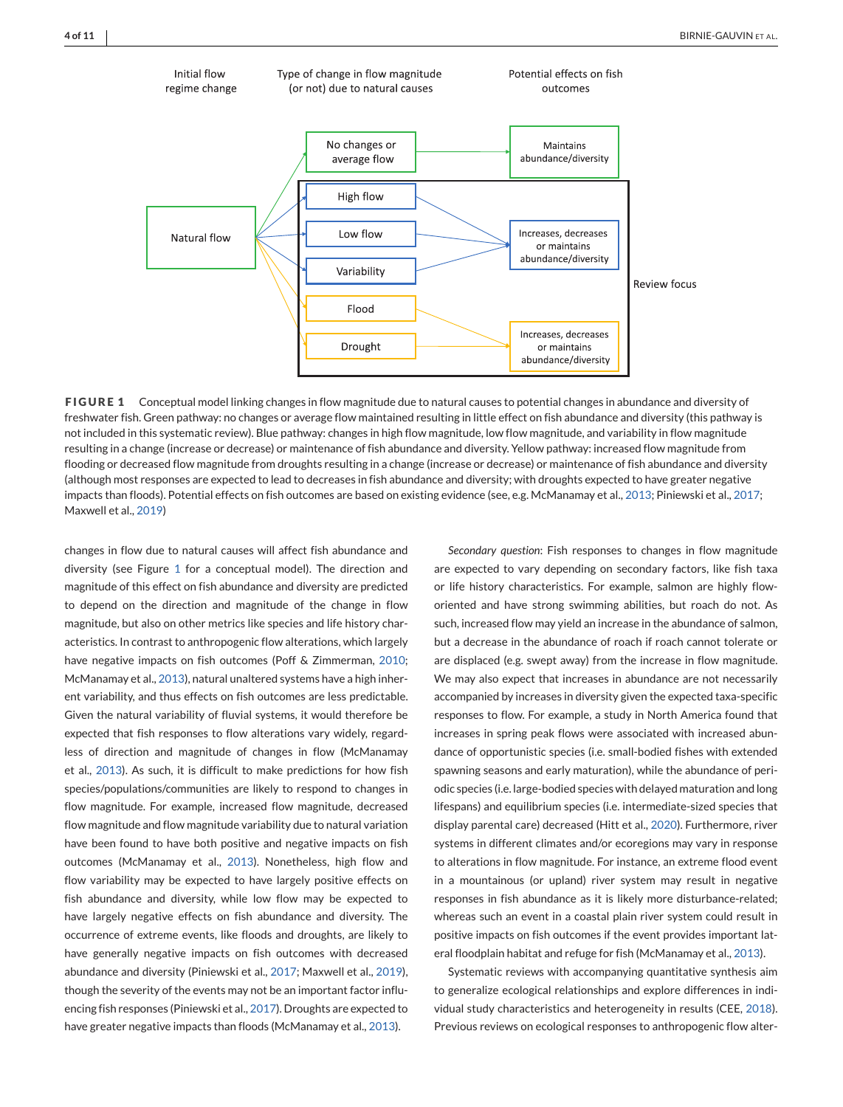

**FIGURE 1** Conceptual model linking changes in flow magnitude due to natural causes to potential changes in abundance and diversity of freshwater fish. Green pathway: no changes or average flow maintained resulting in little effect on fish abundance and diversity (this pathway is not included in this systematic review). Blue pathway: changes in high flow magnitude, low flow magnitude, and variability in flow magnitude resulting in a change (increase or decrease) or maintenance of fish abundance and diversity. Yellow pathway: increased flow magnitude from flooding or decreased flow magnitude from droughts resulting in a change (increase or decrease) or maintenance of fish abundance and diversity (although most responses are expected to lead to decreases in fish abundance and diversity; with droughts expected to have greater negative impacts than floods). Potential effects on fish outcomes are based on existing evidence (see, e.g. McManamay et al., [2013;](#page-9-0) Piniewski et al., [2017;](#page-10-0) Maxwell et al., [2019\)](#page-9-0)

changes in flow due to natural causes will affect fish abundance and diversity (see Figure 1 for a conceptual model). The direction and magnitude of this effect on fish abundance and diversity are predicted to depend on the direction and magnitude of the change in flow magnitude, but also on other metrics like species and life history characteristics. In contrast to anthropogenic flow alterations, which largely have negative impacts on fish outcomes (Poff & Zimmerman, [2010;](#page-10-0) McManamay et al., [2013\)](#page-9-0), natural unaltered systems have a high inherent variability, and thus effects on fish outcomes are less predictable. Given the natural variability of fluvial systems, it would therefore be expected that fish responses to flow alterations vary widely, regardless of direction and magnitude of changes in flow (McManamay et al., [2013\)](#page-9-0). As such, it is difficult to make predictions for how fish species/populations/communities are likely to respond to changes in flow magnitude. For example, increased flow magnitude, decreased flow magnitude and flow magnitude variability due to natural variation have been found to have both positive and negative impacts on fish outcomes (McManamay et al., [2013\)](#page-9-0). Nonetheless, high flow and flow variability may be expected to have largely positive effects on fish abundance and diversity, while low flow may be expected to have largely negative effects on fish abundance and diversity. The occurrence of extreme events, like floods and droughts, are likely to have generally negative impacts on fish outcomes with decreased abundance and diversity (Piniewski et al., [2017;](#page-10-0) Maxwell et al., [2019\)](#page-9-0), though the severity of the events may not be an important factor influencing fish responses (Piniewski et al., [2017\)](#page-10-0). Droughts are expected to have greater negative impacts than floods (McManamay et al., [2013\)](#page-9-0).

*Secondary question*: Fish responses to changes in flow magnitude are expected to vary depending on secondary factors, like fish taxa or life history characteristics. For example, salmon are highly floworiented and have strong swimming abilities, but roach do not. As such, increased flow may yield an increase in the abundance of salmon, but a decrease in the abundance of roach if roach cannot tolerate or are displaced (e.g. swept away) from the increase in flow magnitude. We may also expect that increases in abundance are not necessarily accompanied by increases in diversity given the expected taxa-specific responses to flow. For example, a study in North America found that increases in spring peak flows were associated with increased abundance of opportunistic species (i.e. small-bodied fishes with extended spawning seasons and early maturation), while the abundance of periodic species (i.e. large-bodied species with delayed maturation and long lifespans) and equilibrium species (i.e. intermediate-sized species that display parental care) decreased (Hitt et al., [2020\)](#page-9-0). Furthermore, river systems in different climates and/or ecoregions may vary in response to alterations in flow magnitude. For instance, an extreme flood event in a mountainous (or upland) river system may result in negative responses in fish abundance as it is likely more disturbance-related; whereas such an event in a coastal plain river system could result in positive impacts on fish outcomes if the event provides important lateral floodplain habitat and refuge for fish (McManamay et al., [2013\)](#page-9-0).

Systematic reviews with accompanying quantitative synthesis aim to generalize ecological relationships and explore differences in individual study characteristics and heterogeneity in results (CEE, [2018\)](#page-9-0). Previous reviews on ecological responses to anthropogenic flow alter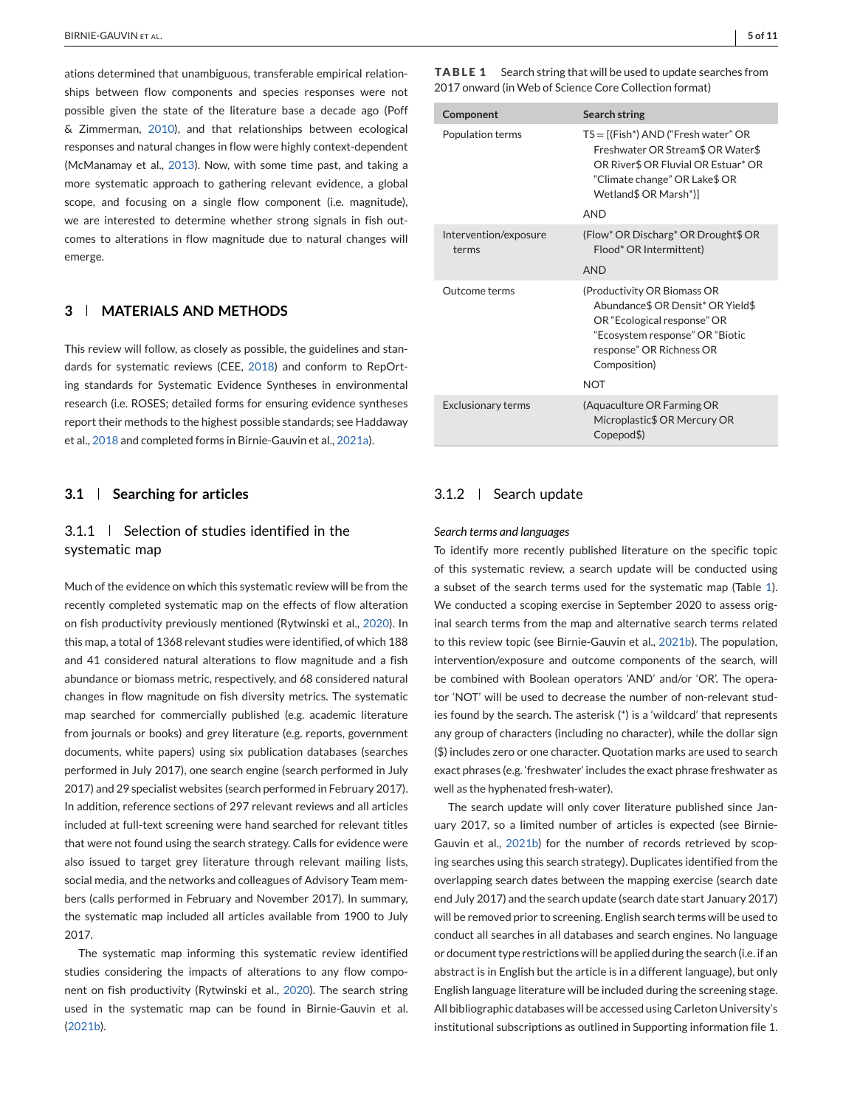ations determined that unambiguous, transferable empirical relationships between flow components and species responses were not possible given the state of the literature base a decade ago (Poff & Zimmerman, [2010\)](#page-10-0), and that relationships between ecological responses and natural changes in flow were highly context-dependent (McManamay et al., [2013\)](#page-9-0). Now, with some time past, and taking a more systematic approach to gathering relevant evidence, a global scope, and focusing on a single flow component (i.e. magnitude), we are interested to determine whether strong signals in fish outcomes to alterations in flow magnitude due to natural changes will emerge.

## **3 MATERIALS AND METHODS**

This review will follow, as closely as possible, the guidelines and standards for systematic reviews (CEE, [2018\)](#page-9-0) and conform to RepOrting standards for Systematic Evidence Syntheses in environmental research (i.e. ROSES; detailed forms for ensuring evidence syntheses report their methods to the highest possible standards; see Haddaway et al., [2018](#page-9-0) and completed forms in Birnie-Gauvin et al., [2021a\)](#page-9-0).

## **3.1 Searching for articles**

## $3.1.1$  Selection of studies identified in the systematic map

Much of the evidence on which this systematic review will be from the recently completed systematic map on the effects of flow alteration on fish productivity previously mentioned (Rytwinski et al., [2020\)](#page-10-0). In this map, a total of 1368 relevant studies were identified, of which 188 and 41 considered natural alterations to flow magnitude and a fish abundance or biomass metric, respectively, and 68 considered natural changes in flow magnitude on fish diversity metrics. The systematic map searched for commercially published (e.g. academic literature from journals or books) and grey literature (e.g. reports, government documents, white papers) using six publication databases (searches performed in July 2017), one search engine (search performed in July 2017) and 29 specialist websites (search performed in February 2017). In addition, reference sections of 297 relevant reviews and all articles included at full-text screening were hand searched for relevant titles that were not found using the search strategy. Calls for evidence were also issued to target grey literature through relevant mailing lists, social media, and the networks and colleagues of Advisory Team members (calls performed in February and November 2017). In summary, the systematic map included all articles available from 1900 to July 2017.

The systematic map informing this systematic review identified studies considering the impacts of alterations to any flow component on fish productivity (Rytwinski et al., [2020\)](#page-10-0). The search string used in the systematic map can be found in Birnie-Gauvin et al. [\(2021b\)](#page-9-0).

**TABLE 1** Search string that will be used to update searches from 2017 onward (in Web of Science Core Collection format)

| Component                      | Search string                                                                                                                                                                                |
|--------------------------------|----------------------------------------------------------------------------------------------------------------------------------------------------------------------------------------------|
| Population terms               | $TS = [(Fish^*) AND ("Fresh water" OR$<br>Freshwater OR Stream\$ OR Water\$<br>OR River\$ OR Fluvial OR Estuar* OR<br>"Climate change" OR Lake\$ OR<br>Wetland\$ OR Marsh*)]<br><b>AND</b>   |
|                                |                                                                                                                                                                                              |
| Intervention/exposure<br>terms | (Flow* OR Discharg* OR Drought\$ OR<br>Flood* OR Intermittent)                                                                                                                               |
|                                | <b>AND</b>                                                                                                                                                                                   |
| Outcome terms                  | (Productivity OR Biomass OR<br>Abundance\$ OR Densit* OR Yield\$<br>OR "Ecological response" OR<br>"Ecosystem response" OR "Biotic<br>response" OR Richness OR<br>Composition)<br><b>NOT</b> |
|                                |                                                                                                                                                                                              |
| <b>Exclusionary terms</b>      | (Aquaculture OR Farming OR<br>Microplastic\$ OR Mercury OR<br>Copepod\$)                                                                                                                     |

## 3.1.2 | Search update

#### *Search terms and languages*

To identify more recently published literature on the specific topic of this systematic review, a search update will be conducted using a subset of the search terms used for the systematic map (Table 1). We conducted a scoping exercise in September 2020 to assess original search terms from the map and alternative search terms related to this review topic (see Birnie-Gauvin et al., [2021b\)](#page-9-0). The population, intervention/exposure and outcome components of the search, will be combined with Boolean operators 'AND' and/or 'OR'. The operator 'NOT' will be used to decrease the number of non-relevant studies found by the search. The asterisk (\*) is a 'wildcard' that represents any group of characters (including no character), while the dollar sign (\$) includes zero or one character. Quotation marks are used to search exact phrases (e.g. 'freshwater' includes the exact phrase freshwater as well as the hyphenated fresh-water).

The search update will only cover literature published since January 2017, so a limited number of articles is expected (see Birnie-Gauvin et al., [2021b\)](#page-9-0) for the number of records retrieved by scoping searches using this search strategy). Duplicates identified from the overlapping search dates between the mapping exercise (search date end July 2017) and the search update (search date start January 2017) will be removed prior to screening. English search terms will be used to conduct all searches in all databases and search engines. No language or document type restrictions will be applied during the search (i.e. if an abstract is in English but the article is in a different language), but only English language literature will be included during the screening stage. All bibliographic databases will be accessed using Carleton University's institutional subscriptions as outlined in Supporting information file 1.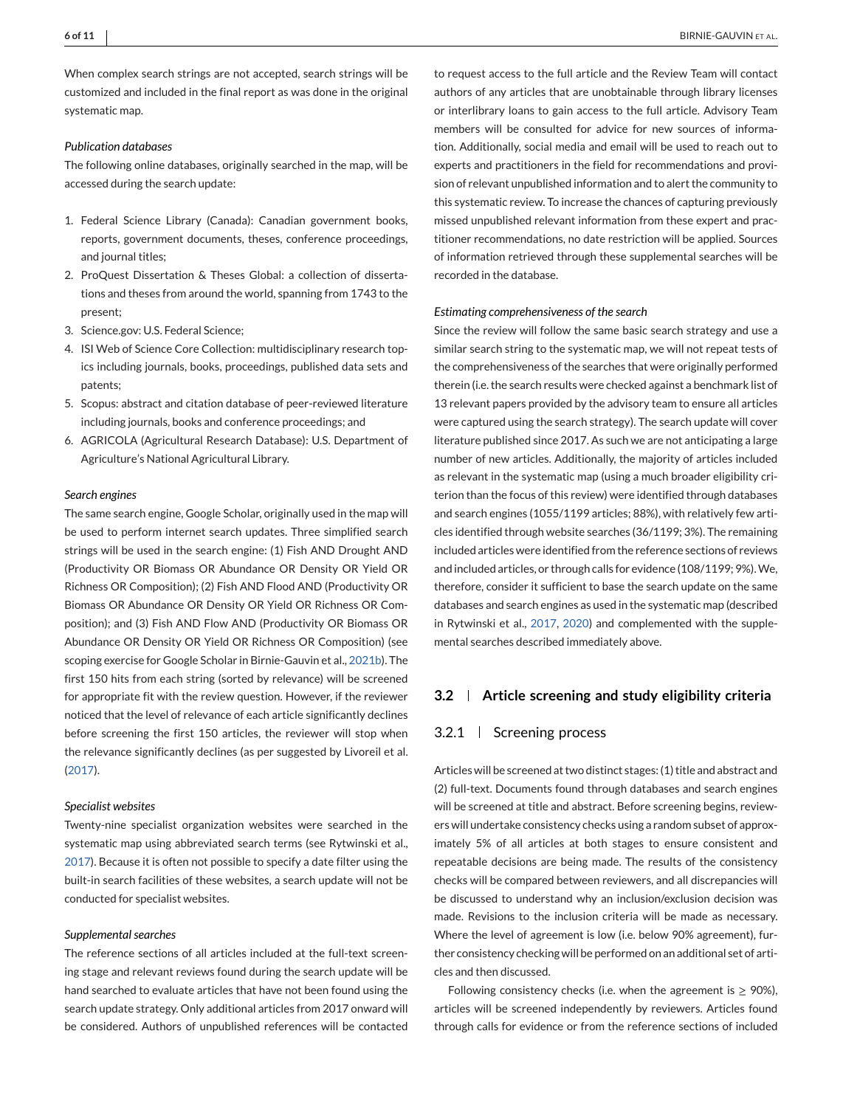When complex search strings are not accepted, search strings will be customized and included in the final report as was done in the original systematic map.

## *Publication databases*

The following online databases, originally searched in the map, will be accessed during the search update:

- 1. Federal Science Library (Canada): Canadian government books, reports, government documents, theses, conference proceedings, and journal titles;
- 2. ProQuest Dissertation & Theses Global: a collection of dissertations and theses from around the world, spanning from 1743 to the present;
- 3. Science.gov: U.S. Federal Science;
- 4. ISI Web of Science Core Collection: multidisciplinary research topics including journals, books, proceedings, published data sets and patents;
- 5. Scopus: abstract and citation database of peer-reviewed literature including journals, books and conference proceedings; and
- 6. AGRICOLA (Agricultural Research Database): U.S. Department of Agriculture's National Agricultural Library.

#### *Search engines*

The same search engine, Google Scholar, originally used in the map will be used to perform internet search updates. Three simplified search strings will be used in the search engine: (1) Fish AND Drought AND (Productivity OR Biomass OR Abundance OR Density OR Yield OR Richness OR Composition); (2) Fish AND Flood AND (Productivity OR Biomass OR Abundance OR Density OR Yield OR Richness OR Composition); and (3) Fish AND Flow AND (Productivity OR Biomass OR Abundance OR Density OR Yield OR Richness OR Composition) (see scoping exercise for Google Scholar in Birnie-Gauvin et al., [2021b\)](#page-9-0). The first 150 hits from each string (sorted by relevance) will be screened for appropriate fit with the review question. However, if the reviewer noticed that the level of relevance of each article significantly declines before screening the first 150 articles, the reviewer will stop when the relevance significantly declines (as per suggested by Livoreil et al. [\(2017\)](#page-9-0).

#### *Specialist websites*

Twenty-nine specialist organization websites were searched in the systematic map using abbreviated search terms (see Rytwinski et al., [2017\)](#page-10-0). Because it is often not possible to specify a date filter using the built-in search facilities of these websites, a search update will not be conducted for specialist websites.

#### *Supplemental searches*

The reference sections of all articles included at the full-text screening stage and relevant reviews found during the search update will be hand searched to evaluate articles that have not been found using the search update strategy. Only additional articles from 2017 onward will be considered. Authors of unpublished references will be contacted

to request access to the full article and the Review Team will contact authors of any articles that are unobtainable through library licenses or interlibrary loans to gain access to the full article. Advisory Team members will be consulted for advice for new sources of information. Additionally, social media and email will be used to reach out to experts and practitioners in the field for recommendations and provision of relevant unpublished information and to alert the community to this systematic review. To increase the chances of capturing previously missed unpublished relevant information from these expert and practitioner recommendations, no date restriction will be applied. Sources of information retrieved through these supplemental searches will be recorded in the database.

#### *Estimating comprehensiveness of the search*

Since the review will follow the same basic search strategy and use a similar search string to the systematic map, we will not repeat tests of the comprehensiveness of the searches that were originally performed therein (i.e. the search results were checked against a benchmark list of 13 relevant papers provided by the advisory team to ensure all articles were captured using the search strategy). The search update will cover literature published since 2017. As such we are not anticipating a large number of new articles. Additionally, the majority of articles included as relevant in the systematic map (using a much broader eligibility criterion than the focus of this review) were identified through databases and search engines (1055/1199 articles; 88%), with relatively few articles identified through website searches (36/1199; 3%). The remaining included articles were identified from the reference sections of reviews and included articles, or through calls for evidence (108/1199; 9%).We, therefore, consider it sufficient to base the search update on the same databases and search engines as used in the systematic map (described in Rytwinski et al., [2017,](#page-10-0) [2020\)](#page-10-0) and complemented with the supplemental searches described immediately above.

## **3.2 Article screening and study eligibility criteria**

#### 3.2.1 Screening process

Articles will be screened at two distinct stages: (1) title and abstract and (2) full-text. Documents found through databases and search engines will be screened at title and abstract. Before screening begins, reviewers will undertake consistency checks using a random subset of approximately 5% of all articles at both stages to ensure consistent and repeatable decisions are being made. The results of the consistency checks will be compared between reviewers, and all discrepancies will be discussed to understand why an inclusion/exclusion decision was made. Revisions to the inclusion criteria will be made as necessary. Where the level of agreement is low (i.e. below 90% agreement), further consistency checking will be performed on an additional set of articles and then discussed.

Following consistency checks (i.e. when the agreement is  $\geq$  90%), articles will be screened independently by reviewers. Articles found through calls for evidence or from the reference sections of included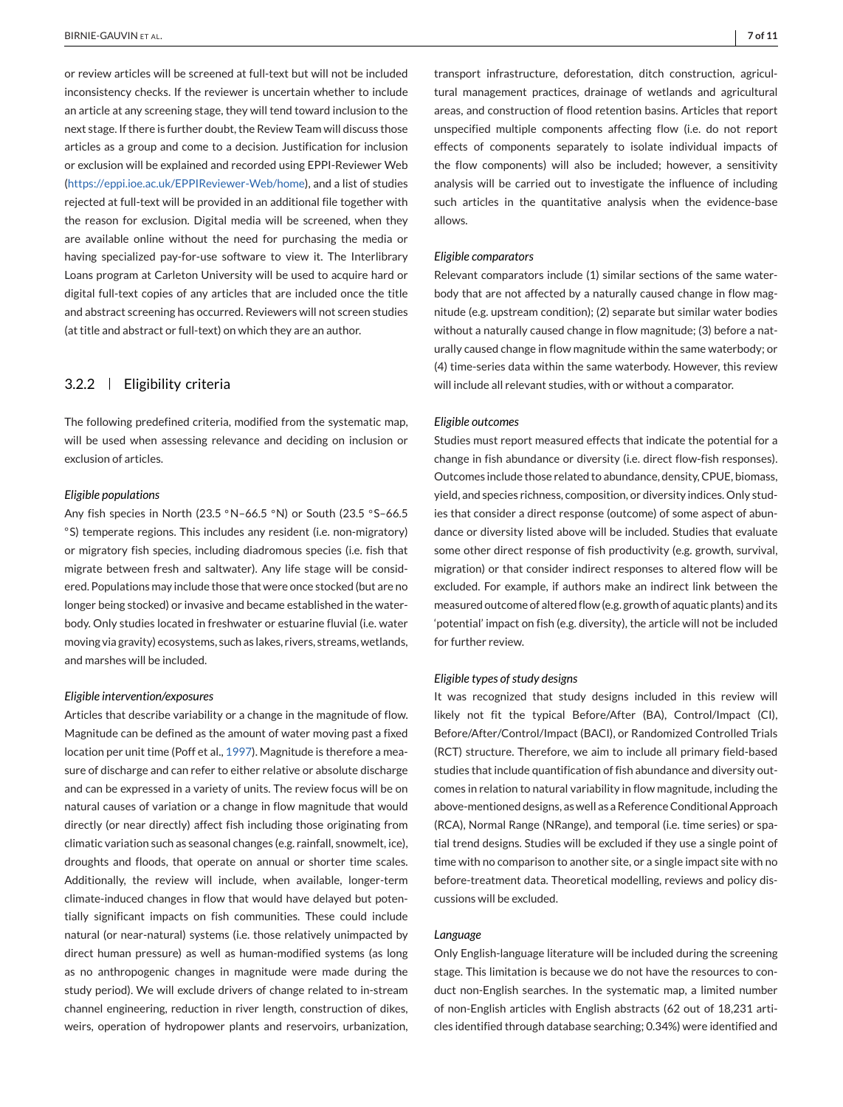or review articles will be screened at full-text but will not be included inconsistency checks. If the reviewer is uncertain whether to include an article at any screening stage, they will tend toward inclusion to the next stage. If there is further doubt, the Review Team will discuss those articles as a group and come to a decision. Justification for inclusion or exclusion will be explained and recorded using EPPI-Reviewer Web [\(https://eppi.ioe.ac.uk/EPPIReviewer-Web/home\)](https://eppi.ioe.ac.uk/EPPIReviewer-Web/home), and a list of studies rejected at full-text will be provided in an additional file together with the reason for exclusion. Digital media will be screened, when they are available online without the need for purchasing the media or having specialized pay-for-use software to view it. The Interlibrary Loans program at Carleton University will be used to acquire hard or digital full-text copies of any articles that are included once the title and abstract screening has occurred. Reviewers will not screen studies (at title and abstract or full-text) on which they are an author.

## 3.2.2 Eligibility criteria

The following predefined criteria, modified from the systematic map, will be used when assessing relevance and deciding on inclusion or exclusion of articles.

#### *Eligible populations*

Any fish species in North (23.5 ◦N–66.5 ◦N) or South (23.5 ◦S–66.5 ◦S) temperate regions. This includes any resident (i.e. non-migratory) or migratory fish species, including diadromous species (i.e. fish that migrate between fresh and saltwater). Any life stage will be considered. Populations may include those that were once stocked (but are no longer being stocked) or invasive and became established in the waterbody. Only studies located in freshwater or estuarine fluvial (i.e. water moving via gravity) ecosystems, such as lakes, rivers, streams, wetlands, and marshes will be included.

#### *Eligible intervention/exposures*

Articles that describe variability or a change in the magnitude of flow. Magnitude can be defined as the amount of water moving past a fixed location per unit time (Poff et al., [1997\)](#page-10-0). Magnitude is therefore a measure of discharge and can refer to either relative or absolute discharge and can be expressed in a variety of units. The review focus will be on natural causes of variation or a change in flow magnitude that would directly (or near directly) affect fish including those originating from climatic variation such as seasonal changes (e.g. rainfall, snowmelt, ice), droughts and floods, that operate on annual or shorter time scales. Additionally, the review will include, when available, longer-term climate-induced changes in flow that would have delayed but potentially significant impacts on fish communities. These could include natural (or near-natural) systems (i.e. those relatively unimpacted by direct human pressure) as well as human-modified systems (as long as no anthropogenic changes in magnitude were made during the study period). We will exclude drivers of change related to in-stream channel engineering, reduction in river length, construction of dikes, weirs, operation of hydropower plants and reservoirs, urbanization,

transport infrastructure, deforestation, ditch construction, agricultural management practices, drainage of wetlands and agricultural areas, and construction of flood retention basins. Articles that report unspecified multiple components affecting flow (i.e. do not report effects of components separately to isolate individual impacts of the flow components) will also be included; however, a sensitivity analysis will be carried out to investigate the influence of including such articles in the quantitative analysis when the evidence-base allows.

#### *Eligible comparators*

Relevant comparators include (1) similar sections of the same waterbody that are not affected by a naturally caused change in flow magnitude (e.g. upstream condition); (2) separate but similar water bodies without a naturally caused change in flow magnitude; (3) before a naturally caused change in flow magnitude within the same waterbody; or (4) time-series data within the same waterbody. However, this review will include all relevant studies, with or without a comparator.

#### *Eligible outcomes*

Studies must report measured effects that indicate the potential for a change in fish abundance or diversity (i.e. direct flow-fish responses). Outcomes include those related to abundance, density, CPUE, biomass, yield, and species richness, composition, or diversity indices. Only studies that consider a direct response (outcome) of some aspect of abundance or diversity listed above will be included. Studies that evaluate some other direct response of fish productivity (e.g. growth, survival, migration) or that consider indirect responses to altered flow will be excluded. For example, if authors make an indirect link between the measured outcome of altered flow (e.g. growth of aquatic plants) and its 'potential' impact on fish (e.g. diversity), the article will not be included for further review.

#### *Eligible types of study designs*

It was recognized that study designs included in this review will likely not fit the typical Before/After (BA), Control/Impact (CI), Before/After/Control/Impact (BACI), or Randomized Controlled Trials (RCT) structure. Therefore, we aim to include all primary field-based studies that include quantification of fish abundance and diversity outcomes in relation to natural variability in flow magnitude, including the above-mentioned designs, as well as a Reference Conditional Approach (RCA), Normal Range (NRange), and temporal (i.e. time series) or spatial trend designs. Studies will be excluded if they use a single point of time with no comparison to another site, or a single impact site with no before-treatment data. Theoretical modelling, reviews and policy discussions will be excluded.

#### *Language*

Only English-language literature will be included during the screening stage. This limitation is because we do not have the resources to conduct non-English searches. In the systematic map, a limited number of non-English articles with English abstracts (62 out of 18,231 articles identified through database searching; 0.34%) were identified and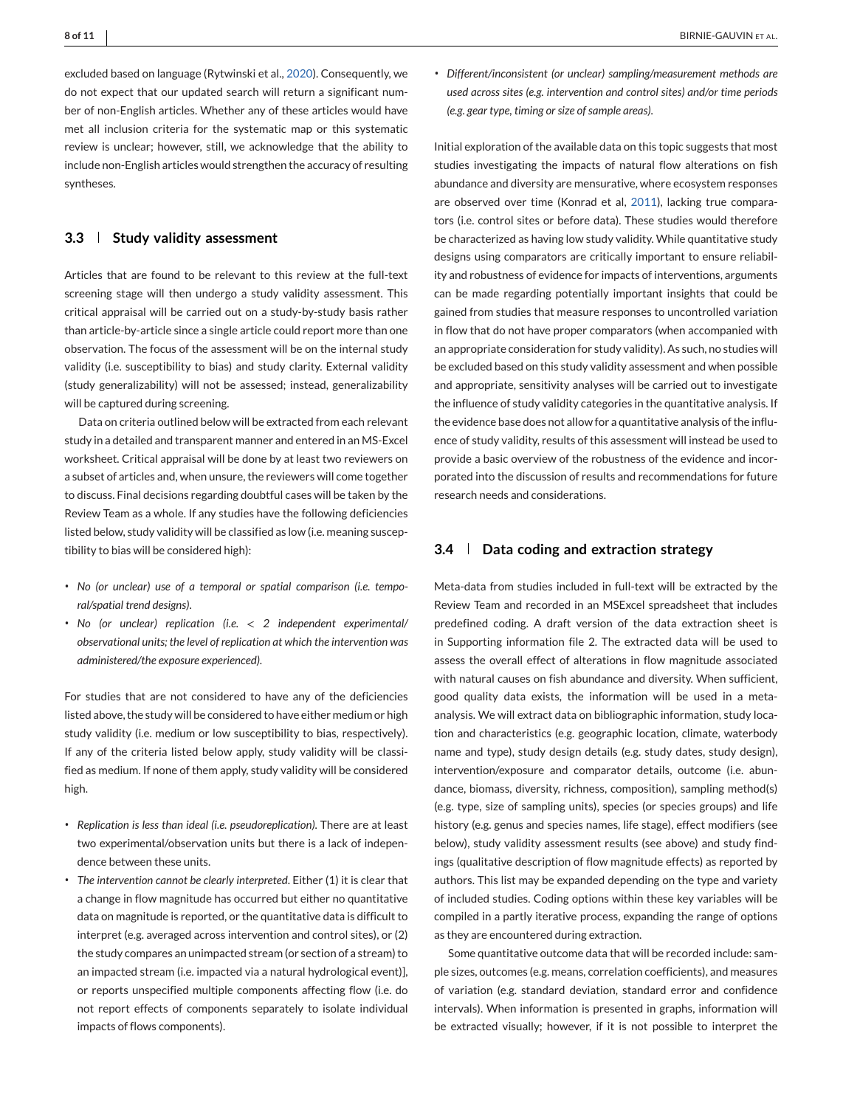excluded based on language (Rytwinski et al., [2020\)](#page-10-0). Consequently, we do not expect that our updated search will return a significant number of non-English articles. Whether any of these articles would have met all inclusion criteria for the systematic map or this systematic review is unclear; however, still, we acknowledge that the ability to include non-English articles would strengthen the accuracy of resulting syntheses.

## **3.3 Study validity assessment**

Articles that are found to be relevant to this review at the full-text screening stage will then undergo a study validity assessment. This critical appraisal will be carried out on a study-by-study basis rather than article-by-article since a single article could report more than one observation. The focus of the assessment will be on the internal study validity (i.e. susceptibility to bias) and study clarity. External validity (study generalizability) will not be assessed; instead, generalizability will be captured during screening.

Data on criteria outlined below will be extracted from each relevant study in a detailed and transparent manner and entered in an MS-Excel worksheet. Critical appraisal will be done by at least two reviewers on a subset of articles and, when unsure, the reviewers will come together to discuss. Final decisions regarding doubtful cases will be taken by the Review Team as a whole. If any studies have the following deficiencies listed below, study validity will be classified as low (i.e. meaning susceptibility to bias will be considered high):

- ∙ *No (or unclear) use of a temporal or spatial comparison (i.e. temporal/spatial trend designs)*.
- ∙ *No (or unclear) replication (i.e.* < *2 independent experimental/ observational units; the level of replication at which the intervention was administered/the exposure experienced)*.

For studies that are not considered to have any of the deficiencies listed above, the study will be considered to have either medium or high study validity (i.e. medium or low susceptibility to bias, respectively). If any of the criteria listed below apply, study validity will be classified as medium. If none of them apply, study validity will be considered high.

- ∙ *Replication is less than ideal (i.e. pseudoreplication)*. There are at least two experimental/observation units but there is a lack of independence between these units.
- ∙ *The intervention cannot be clearly interpreted*. Either (1) it is clear that a change in flow magnitude has occurred but either no quantitative data on magnitude is reported, or the quantitative data is difficult to interpret (e.g. averaged across intervention and control sites), or (2) the study compares an unimpacted stream (or section of a stream) to an impacted stream (i.e. impacted via a natural hydrological event)], or reports unspecified multiple components affecting flow (i.e. do not report effects of components separately to isolate individual impacts of flows components).

∙ *Different/inconsistent (or unclear) sampling/measurement methods are used across sites (e.g. intervention and control sites) and/or time periods (e.g. gear type, timing or size of sample areas)*.

Initial exploration of the available data on this topic suggests that most studies investigating the impacts of natural flow alterations on fish abundance and diversity are mensurative, where ecosystem responses are observed over time (Konrad et al, [2011\)](#page-9-0), lacking true comparators (i.e. control sites or before data). These studies would therefore be characterized as having low study validity. While quantitative study designs using comparators are critically important to ensure reliability and robustness of evidence for impacts of interventions, arguments can be made regarding potentially important insights that could be gained from studies that measure responses to uncontrolled variation in flow that do not have proper comparators (when accompanied with an appropriate consideration for study validity). As such, no studies will be excluded based on this study validity assessment and when possible and appropriate, sensitivity analyses will be carried out to investigate the influence of study validity categories in the quantitative analysis. If the evidence base does not allow for a quantitative analysis of the influence of study validity, results of this assessment will instead be used to provide a basic overview of the robustness of the evidence and incorporated into the discussion of results and recommendations for future research needs and considerations.

## **3.4 Data coding and extraction strategy**

Meta-data from studies included in full-text will be extracted by the Review Team and recorded in an MSExcel spreadsheet that includes predefined coding. A draft version of the data extraction sheet is in Supporting information file 2. The extracted data will be used to assess the overall effect of alterations in flow magnitude associated with natural causes on fish abundance and diversity. When sufficient, good quality data exists, the information will be used in a metaanalysis. We will extract data on bibliographic information, study location and characteristics (e.g. geographic location, climate, waterbody name and type), study design details (e.g. study dates, study design), intervention/exposure and comparator details, outcome (i.e. abundance, biomass, diversity, richness, composition), sampling method(s) (e.g. type, size of sampling units), species (or species groups) and life history (e.g. genus and species names, life stage), effect modifiers (see below), study validity assessment results (see above) and study findings (qualitative description of flow magnitude effects) as reported by authors. This list may be expanded depending on the type and variety of included studies. Coding options within these key variables will be compiled in a partly iterative process, expanding the range of options as they are encountered during extraction.

Some quantitative outcome data that will be recorded include: sample sizes, outcomes (e.g. means, correlation coefficients), and measures of variation (e.g. standard deviation, standard error and confidence intervals). When information is presented in graphs, information will be extracted visually; however, if it is not possible to interpret the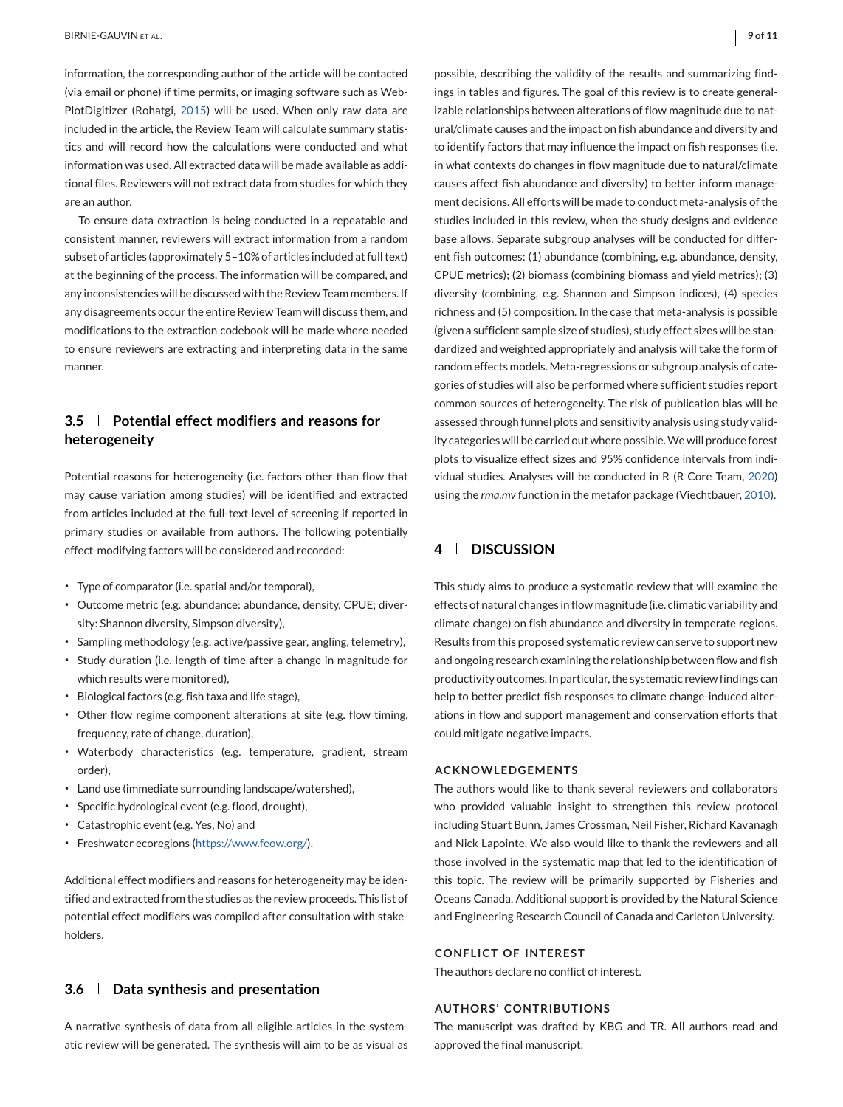information, the corresponding author of the article will be contacted (via email or phone) if time permits, or imaging software such as Web-PlotDigitizer (Rohatgi, [2015\)](#page-10-0) will be used. When only raw data are included in the article, the Review Team will calculate summary statistics and will record how the calculations were conducted and what information was used. All extracted data will be made available as additional files. Reviewers will not extract data from studies for which they are an author.

To ensure data extraction is being conducted in a repeatable and consistent manner, reviewers will extract information from a random subset of articles (approximately 5–10% of articles included at full text) at the beginning of the process. The information will be compared, and any inconsistencies will be discussed with the Review Team members. If any disagreements occur the entire Review Team will discuss them, and modifications to the extraction codebook will be made where needed to ensure reviewers are extracting and interpreting data in the same manner.

# **3.5 Potential effect modifiers and reasons for heterogeneity**

Potential reasons for heterogeneity (i.e. factors other than flow that may cause variation among studies) will be identified and extracted from articles included at the full-text level of screening if reported in primary studies or available from authors. The following potentially effect-modifying factors will be considered and recorded:

- ∙ Type of comparator (i.e. spatial and/or temporal),
- ∙ Outcome metric (e.g. abundance: abundance, density, CPUE; diversity: Shannon diversity, Simpson diversity),
- ∙ Sampling methodology (e.g. active/passive gear, angling, telemetry),
- ∙ Study duration (i.e. length of time after a change in magnitude for which results were monitored),
- ∙ Biological factors (e.g. fish taxa and life stage),
- ∙ Other flow regime component alterations at site (e.g. flow timing, frequency, rate of change, duration),
- ∙ Waterbody characteristics (e.g. temperature, gradient, stream order),
- ∙ Land use (immediate surrounding landscape/watershed),
- ∙ Specific hydrological event (e.g. flood, drought),
- ∙ Catastrophic event (e.g. Yes, No) and
- ∙ Freshwater ecoregions [\(https://www.feow.org/\)](https://www.feow.org/).

Additional effect modifiers and reasons for heterogeneity may be identified and extracted from the studies as the review proceeds. This list of potential effect modifiers was compiled after consultation with stakeholders.

## **3.6 Data synthesis and presentation**

A narrative synthesis of data from all eligible articles in the systematic review will be generated. The synthesis will aim to be as visual as

ings in tables and figures. The goal of this review is to create generalizable relationships between alterations of flow magnitude due to natural/climate causes and the impact on fish abundance and diversity and to identify factors that may influence the impact on fish responses (i.e. in what contexts do changes in flow magnitude due to natural/climate causes affect fish abundance and diversity) to better inform management decisions. All efforts will be made to conduct meta-analysis of the studies included in this review, when the study designs and evidence base allows. Separate subgroup analyses will be conducted for different fish outcomes: (1) abundance (combining, e.g. abundance, density, CPUE metrics); (2) biomass (combining biomass and yield metrics); (3) diversity (combining, e.g. Shannon and Simpson indices), (4) species richness and (5) composition. In the case that meta-analysis is possible (given a sufficient sample size of studies), study effect sizes will be standardized and weighted appropriately and analysis will take the form of random effects models. Meta-regressions or subgroup analysis of categories of studies will also be performed where sufficient studies report common sources of heterogeneity. The risk of publication bias will be assessed through funnel plots and sensitivity analysis using study validity categories will be carried out where possible.We will produce forest plots to visualize effect sizes and 95% confidence intervals from individual studies. Analyses will be conducted in R (R Core Team, [2020\)](#page-10-0) using the *rma.mv* function in the metafor package (Viechtbauer, [2010\)](#page-10-0).

## **4 DISCUSSION**

This study aims to produce a systematic review that will examine the effects of natural changes in flow magnitude (i.e. climatic variability and climate change) on fish abundance and diversity in temperate regions. Results from this proposed systematic review can serve to support new and ongoing research examining the relationship between flow and fish productivity outcomes. In particular, the systematic review findings can help to better predict fish responses to climate change-induced alterations in flow and support management and conservation efforts that could mitigate negative impacts.

#### **ACKNOWLEDGEMENTS**

The authors would like to thank several reviewers and collaborators who provided valuable insight to strengthen this review protocol including Stuart Bunn, James Crossman, Neil Fisher, Richard Kavanagh and Nick Lapointe. We also would like to thank the reviewers and all those involved in the systematic map that led to the identification of this topic. The review will be primarily supported by Fisheries and Oceans Canada. Additional support is provided by the Natural Science and Engineering Research Council of Canada and Carleton University.

## **CONFLICT OF INTEREST**

The authors declare no conflict of interest.

#### **AUTHORS' CONTRIBUTIONS**

The manuscript was drafted by KBG and TR. All authors read and approved the final manuscript.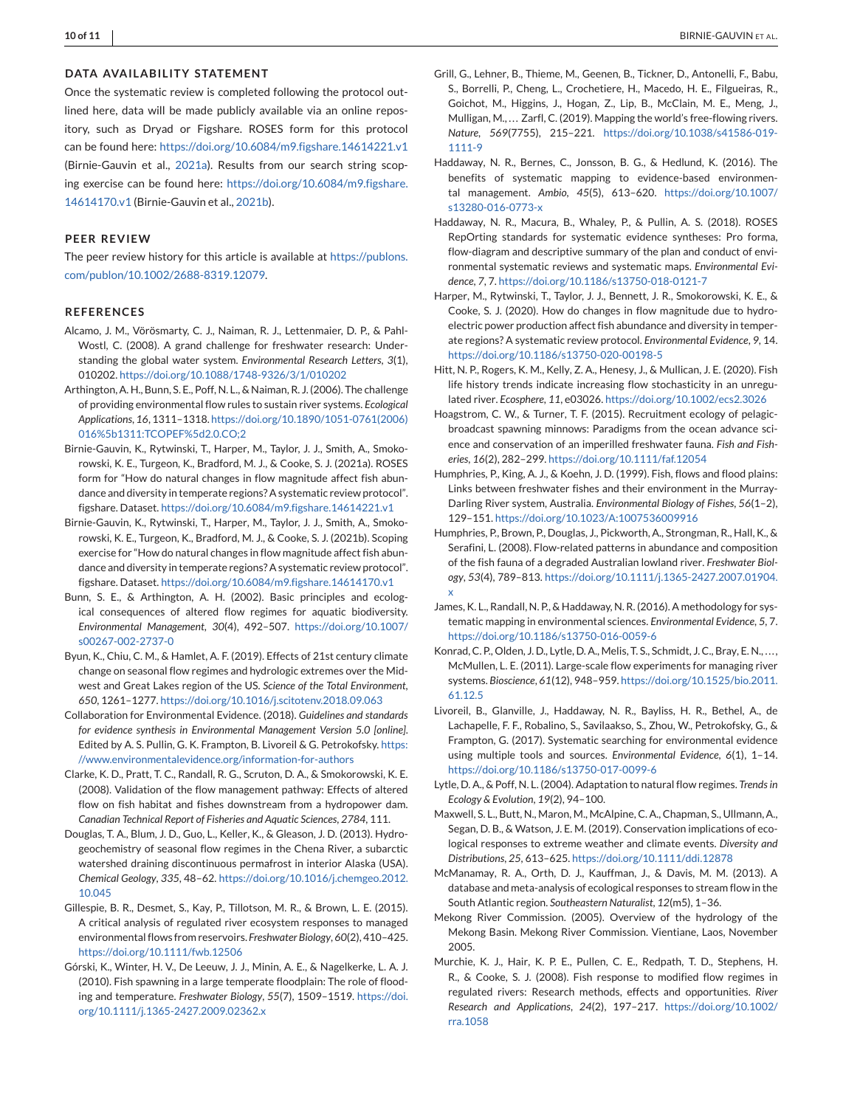#### <span id="page-9-0"></span>**DATA AVAILABILITY STATEMENT**

Once the systematic review is completed following the protocol outlined here, data will be made publicly available via an online repository, such as Dryad or Figshare. ROSES form for this protocol can be found here: <https://doi.org/10.6084/m9.figshare.14614221.v1> (Birnie-Gauvin et al., 2021a). Results from our search string scoping exercise can be found here: [https://doi.org/10.6084/m9.figshare.](https://doi.org/10.6084/m9.figshare.14614170.v1) [14614170.v1](https://doi.org/10.6084/m9.figshare.14614170.v1) (Birnie-Gauvin et al., 2021b).

#### **PEER REVIEW**

The peer review history for this article is available at [https://publons.](https://publons.com/publon/10.1002/2688-8319.12079) [com/publon/10.1002/2688-8319.12079.](https://publons.com/publon/10.1002/2688-8319.12079)

#### **REFERENCES**

- Alcamo, J. M., Vörösmarty, C. J., Naiman, R. J., Lettenmaier, D. P., & Pahl-Wostl, C. (2008). A grand challenge for freshwater research: Understanding the global water system. *Environmental Research Letters*, *3*(1), 010202. <https://doi.org/10.1088/1748-9326/3/1/010202>
- Arthington, A. H., Bunn, S. E., Poff, N. L., & Naiman, R. J. (2006). The challenge of providing environmental flow rules to sustain river systems. *Ecological Applications*, *16*, 1311–1318. [https://doi.org/10.1890/1051-0761\(2006\)](https://doi.org/10.1890/1051-0761(2006)016%5b1311:TCOPEF%5d2.0.CO;2) [016%5b1311:TCOPEF%5d2.0.CO;2](https://doi.org/10.1890/1051-0761(2006)016%5b1311:TCOPEF%5d2.0.CO;2)
- Birnie-Gauvin, K., Rytwinski, T., Harper, M., Taylor, J. J., Smith, A., Smokorowski, K. E., Turgeon, K., Bradford, M. J., & Cooke, S. J. (2021a). ROSES form for "How do natural changes in flow magnitude affect fish abundance and diversity in temperate regions? A systematic review protocol". figshare. Dataset. <https://doi.org/10.6084/m9.figshare.14614221.v1>
- Birnie-Gauvin, K., Rytwinski, T., Harper, M., Taylor, J. J., Smith, A., Smokorowski, K. E., Turgeon, K., Bradford, M. J., & Cooke, S. J. (2021b). Scoping exercise for "How do natural changes in flow magnitude affect fish abundance and diversity in temperate regions? A systematic review protocol". figshare. Dataset. <https://doi.org/10.6084/m9.figshare.14614170.v1>
- Bunn, S. E., & Arthington, A. H. (2002). Basic principles and ecological consequences of altered flow regimes for aquatic biodiversity. *Environmental Management*, *30*(4), 492–507. [https://doi.org/10.1007/](https://doi.org/10.1007/s00267-002-2737-0) [s00267-002-2737-0](https://doi.org/10.1007/s00267-002-2737-0)
- Byun, K., Chiu, C. M., & Hamlet, A. F. (2019). Effects of 21st century climate change on seasonal flow regimes and hydrologic extremes over the Midwest and Great Lakes region of the US. *Science of the Total Environment*, *650*, 1261–1277. <https://doi.org/10.1016/j.scitotenv.2018.09.063>
- Collaboration for Environmental Evidence. (2018). *Guidelines and standards for evidence synthesis in Environmental Management Version 5.0 [online]*. Edited by A. S. Pullin, G. K. Frampton, B. Livoreil & G. Petrokofsky. [https:](https://www.environmentalevidence.org/information-for-authors) [//www.environmentalevidence.org/information-for-authors](https://www.environmentalevidence.org/information-for-authors)
- Clarke, K. D., Pratt, T. C., Randall, R. G., Scruton, D. A., & Smokorowski, K. E. (2008). Validation of the flow management pathway: Effects of altered flow on fish habitat and fishes downstream from a hydropower dam. *Canadian Technical Report of Fisheries and Aquatic Sciences*, *2784*, 111.
- Douglas, T. A., Blum, J. D., Guo, L., Keller, K., & Gleason, J. D. (2013). Hydrogeochemistry of seasonal flow regimes in the Chena River, a subarctic watershed draining discontinuous permafrost in interior Alaska (USA). *Chemical Geology*, *335*, 48–62. [https://doi.org/10.1016/j.chemgeo.2012.](https://doi.org/10.1016/j.chemgeo.2012.10.045) [10.045](https://doi.org/10.1016/j.chemgeo.2012.10.045)
- Gillespie, B. R., Desmet, S., Kay, P., Tillotson, M. R., & Brown, L. E. (2015). A critical analysis of regulated river ecosystem responses to managed environmental flows from reservoirs. *Freshwater Biology*, *60*(2), 410–425. <https://doi.org/10.1111/fwb.12506>
- Górski, K., Winter, H. V., De Leeuw, J. J., Minin, A. E., & Nagelkerke, L. A. J. (2010). Fish spawning in a large temperate floodplain: The role of flooding and temperature. *Freshwater Biology*, *55*(7), 1509–1519. [https://doi.](https://doi.org/10.1111/j.1365-2427.2009.02362.x) [org/10.1111/j.1365-2427.2009.02362.x](https://doi.org/10.1111/j.1365-2427.2009.02362.x)
- Grill, G., Lehner, B., Thieme, M., Geenen, B., Tickner, D., Antonelli, F., Babu, S., Borrelli, P., Cheng, L., Crochetiere, H., Macedo, H. E., Filgueiras, R., Goichot, M., Higgins, J., Hogan, Z., Lip, B., McClain, M. E., Meng, J., Mulligan, M., ... Zarfl, C. (2019). Mapping the world's free-flowing rivers. *Nature*, *569*(7755), 215–221. [https://doi.org/10.1038/s41586-019-](https://doi.org/10.1038/s41586-019-1111-9) [1111-9](https://doi.org/10.1038/s41586-019-1111-9)
- Haddaway, N. R., Bernes, C., Jonsson, B. G., & Hedlund, K. (2016). The benefits of systematic mapping to evidence-based environmental management. *Ambio*, *45*(5), 613–620. [https://doi.org/10.1007/](https://doi.org/10.1007/s13280-016-0773-x) [s13280-016-0773-x](https://doi.org/10.1007/s13280-016-0773-x)
- Haddaway, N. R., Macura, B., Whaley, P., & Pullin, A. S. (2018). ROSES RepOrting standards for systematic evidence syntheses: Pro forma, flow-diagram and descriptive summary of the plan and conduct of environmental systematic reviews and systematic maps. *Environmental Evidence*, *7*, 7. <https://doi.org/10.1186/s13750-018-0121-7>
- Harper, M., Rytwinski, T., Taylor, J. J., Bennett, J. R., Smokorowski, K. E., & Cooke, S. J. (2020). How do changes in flow magnitude due to hydroelectric power production affect fish abundance and diversity in temperate regions? A systematic review protocol. *Environmental Evidence*, *9*, 14. <https://doi.org/10.1186/s13750-020-00198-5>
- Hitt, N. P., Rogers, K. M., Kelly, Z. A., Henesy, J., & Mullican, J. E. (2020). Fish life history trends indicate increasing flow stochasticity in an unregulated river. *Ecosphere*, *11*, e03026. <https://doi.org/10.1002/ecs2.3026>
- Hoagstrom, C. W., & Turner, T. F. (2015). Recruitment ecology of pelagicbroadcast spawning minnows: Paradigms from the ocean advance science and conservation of an imperilled freshwater fauna. *Fish and Fisheries*, *16*(2), 282–299. <https://doi.org/10.1111/faf.12054>
- Humphries, P., King, A. J., & Koehn, J. D. (1999). Fish, flows and flood plains: Links between freshwater fishes and their environment in the Murray-Darling River system, Australia. *Environmental Biology of Fishes*, *56*(1–2), 129–151. <https://doi.org/10.1023/A:1007536009916>
- Humphries, P., Brown, P., Douglas, J., Pickworth, A., Strongman, R., Hall, K., & Serafini, L. (2008). Flow-related patterns in abundance and composition of the fish fauna of a degraded Australian lowland river. *Freshwater Biology*, *53*(4), 789–813. [https://doi.org/10.1111/j.1365-2427.2007.01904.](https://doi.org/10.1111/j.1365-2427.2007.01904.x) [x](https://doi.org/10.1111/j.1365-2427.2007.01904.x)
- James, K. L., Randall, N. P., & Haddaway, N. R. (2016). A methodology for systematic mapping in environmental sciences. *Environmental Evidence*, *5*, 7. <https://doi.org/10.1186/s13750-016-0059-6>
- Konrad, C. P., Olden, J. D., Lytle, D. A., Melis, T. S., Schmidt, J. C., Bray, E. N., . . . , McMullen, L. E. (2011). Large-scale flow experiments for managing river systems. *Bioscience*, *61*(12), 948–959. [https://doi.org/10.1525/bio.2011.](https://doi.org/10.1525/bio.2011.61.12.5) [61.12.5](https://doi.org/10.1525/bio.2011.61.12.5)
- Livoreil, B., Glanville, J., Haddaway, N. R., Bayliss, H. R., Bethel, A., de Lachapelle, F. F., Robalino, S., Savilaakso, S., Zhou, W., Petrokofsky, G., & Frampton, G. (2017). Systematic searching for environmental evidence using multiple tools and sources. *Environmental Evidence*, *6*(1), 1–14. <https://doi.org/10.1186/s13750-017-0099-6>
- Lytle, D. A., & Poff, N. L. (2004). Adaptation to natural flow regimes. *Trends in Ecology & Evolution*, *19*(2), 94–100.
- Maxwell, S. L., Butt, N., Maron, M., McAlpine, C. A., Chapman, S., Ullmann, A., Segan, D. B., & Watson, J. E. M. (2019). Conservation implications of ecological responses to extreme weather and climate events. *Diversity and Distributions*, *25*, 613–625. <https://doi.org/10.1111/ddi.12878>
- McManamay, R. A., Orth, D. J., Kauffman, J., & Davis, M. M. (2013). A database and meta-analysis of ecological responses to stream flow in the South Atlantic region. *Southeastern Naturalist*, *12*(m5), 1–36.
- Mekong River Commission. (2005). Overview of the hydrology of the Mekong Basin. Mekong River Commission. Vientiane, Laos, November 2005.
- Murchie, K. J., Hair, K. P. E., Pullen, C. E., Redpath, T. D., Stephens, H. R., & Cooke, S. J. (2008). Fish response to modified flow regimes in regulated rivers: Research methods, effects and opportunities. *River Research and Applications*, *24*(2), 197–217. [https://doi.org/10.1002/](https://doi.org/10.1002/rra.1058) [rra.1058](https://doi.org/10.1002/rra.1058)